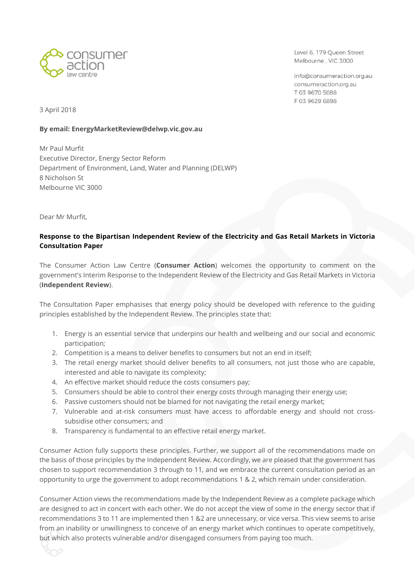

Level 6, 179 Queen Street Melbourne, VIC 3000

info@consumeraction.org.au consumeraction.org.au T 03 9670 5088 F0396296898

3 April 2018

#### **By email: EnergyMarketReview@delwp.vic.gov.au**

Mr Paul Murfit Executive Director, Energy Sector Reform Department of Environment, Land, Water and Planning (DELWP) 8 Nicholson St Melbourne VIC 3000

Dear Mr Murfit,

## **Response to the Bipartisan Independent Review of the Electricity and Gas Retail Markets in Victoria Consultation Paper**

The Consumer Action Law Centre (**Consumer Action**) welcomes the opportunity to comment on the government's Interim Response to the Independent Review of the Electricity and Gas Retail Markets in Victoria (**Independent Review**).

The Consultation Paper emphasises that energy policy should be developed with reference to the guiding principles established by the Independent Review. The principles state that:

- 1. Energy is an essential service that underpins our health and wellbeing and our social and economic participation;
- 2. Competition is a means to deliver benefits to consumers but not an end in itself;
- 3. The retail energy market should deliver benefits to all consumers, not just those who are capable, interested and able to navigate its complexity;
- 4. An effective market should reduce the costs consumers pay;
- 5. Consumers should be able to control their energy costs through managing their energy use;
- 6. Passive customers should not be blamed for not navigating the retail energy market;
- 7. Vulnerable and at-risk consumers must have access to affordable energy and should not crosssubsidise other consumers; and
- 8. Transparency is fundamental to an effective retail energy market.

Consumer Action fully supports these principles. Further, we support all of the recommendations made on the basis of those principles by the Independent Review. Accordingly, we are pleased that the government has chosen to support recommendation 3 through to 11, and we embrace the current consultation period as an opportunity to urge the government to adopt recommendations 1 & 2, which remain under consideration.

Consumer Action views the recommendations made by the Independent Review as a complete package which are designed to act in concert with each other. We do not accept the view of some in the energy sector that if recommendations 3 to 11 are implemented then 1 &2 are unnecessary, or vice versa. This view seems to arise from an inability or unwillingness to conceive of an energy market which continues to operate competitively, but which also protects vulnerable and/or disengaged consumers from paying too much.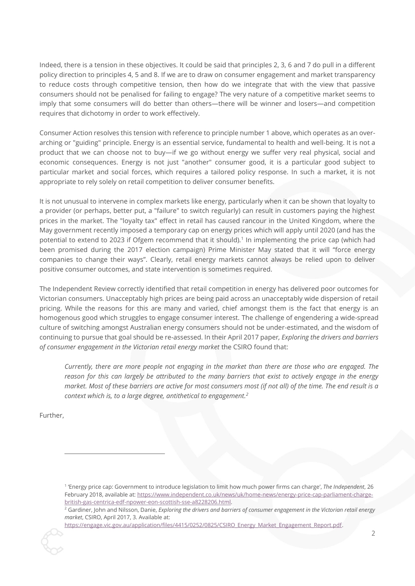Indeed, there is a tension in these objectives. It could be said that principles 2, 3, 6 and 7 do pull in a different policy direction to principles 4, 5 and 8. If we are to draw on consumer engagement and market transparency to reduce costs through competitive tension, then how do we integrate that with the view that passive consumers should not be penalised for failing to engage? The very nature of a competitive market seems to imply that some consumers will do better than others—there will be winner and losers—and competition requires that dichotomy in order to work effectively.

Consumer Action resolves this tension with reference to principle number 1 above, which operates as an overarching or "guiding" principle. Energy is an essential service, fundamental to health and well-being. It is not a product that we can choose not to buy—if we go without energy we suffer very real physical, social and economic consequences. Energy is not just "another" consumer good, it is a particular good subject to particular market and social forces, which requires a tailored policy response. In such a market, it is not appropriate to rely solely on retail competition to deliver consumer benefits.

It is not unusual to intervene in complex markets like energy, particularly when it can be shown that loyalty to a provider (or perhaps, better put, a "failure" to switch regularly) can result in customers paying the highest prices in the market. The "loyalty tax" effect in retail has caused rancour in the United Kingdom, where the May government recently imposed a temporary cap on energy prices which will apply until 2020 (and has the potential to extend to 2023 if Ofgem recommend that it should).<sup>1</sup> In implementing the price cap (which had been promised during the 2017 election campaign) Prime Minister May stated that it will "force energy companies to change their ways". Clearly, retail energy markets cannot always be relied upon to deliver positive consumer outcomes, and state intervention is sometimes required.

The Independent Review correctly identified that retail competition in energy has delivered poor outcomes for Victorian consumers. Unacceptably high prices are being paid across an unacceptably wide dispersion of retail pricing. While the reasons for this are many and varied, chief amongst them is the fact that energy is an homogenous good which struggles to engage consumer interest. The challenge of engendering a wide-spread culture of switching amongst Australian energy consumers should not be under-estimated, and the wisdom of continuing to pursue that goal should be re-assessed. In their April 2017 paper*, Exploring the drivers and barriers of consumer engagement in the Victorian retail energy market* the CSIRO found that:

*Currently, there are more people not engaging in the market than there are those who are engaged. The reason for this can largely be attributed to the many barriers that exist to actively engage in the energy market. Most of these barriers are active for most consumers most (if not all) of the time. The end result is a context which is, to a large degree, antithetical to engagement.<sup>2</sup>*

Further,

<sup>1</sup> 'Energy price cap: Government to introduce legislation to limit how much power firms can charge', *The Independent*, 26 February 2018, available at: [https://www.independent.co.uk/news/uk/home-news/energy-price-cap-parliament-charge](https://www.independent.co.uk/news/uk/home-news/energy-price-cap-parliament-charge-british-gas-centrica-edf-npower-eon-scottish-sse-a8228206.html)[british-gas-centrica-edf-npower-eon-scottish-sse-a8228206.html.](https://www.independent.co.uk/news/uk/home-news/energy-price-cap-parliament-charge-british-gas-centrica-edf-npower-eon-scottish-sse-a8228206.html)

<sup>2</sup> Gardiner, John and Nilsson, Danie, *Exploring the drivers and barriers of consumer engagement in the Victorian retail energy market*, CSIRO, April 2017, 3. Available at:

https://engage.vic.gov.au/application/files/4415/0252/0825/CSIRO\_Energy\_Market\_Engagement\_Report.pdf.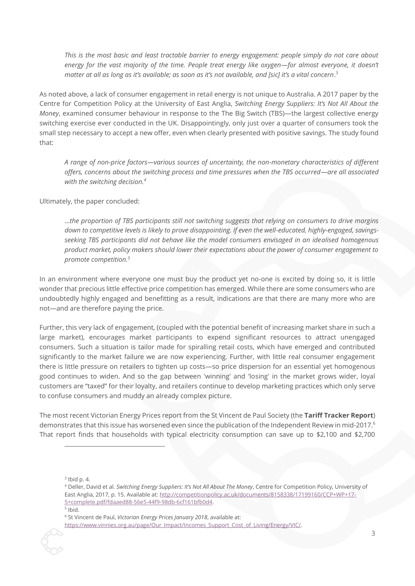*This is the most basic and least tractable barrier to energy engagement: people simply do not care about energy for the vast majority of the time. People treat energy like oxygen—for almost everyone, it doesn't matter at all as long as it's available; as soon as it's not available, and [sic] it's a vital concern*. 3

As noted above, a lack of consumer engagement in retail energy is not unique to Australia. A 2017 paper by the Centre for Competition Policy at the University of East Anglia, *Switching Energy Suppliers: It's Not All About the Money*, examined consumer behaviour in response to the The Big Switch (TBS)—the largest collective energy switching exercise ever conducted in the UK. Disappointingly, only just over a quarter of consumers took the small step necessary to accept a new offer, even when clearly presented with positive savings. The study found that:

*A range of non-price factors—various sources of uncertainty, the non-monetary characteristics of different offers, concerns about the switching process and time pressures when the TBS occurred—are all associated with the switching decision.<sup>4</sup>*

#### Ultimately, the paper concluded:

…*the proportion of TBS participants still not switching suggests that relying on consumers to drive margins down to competitive levels is likely to prove disappointing. If even the well-educated, highly-engaged, savingsseeking TBS participants did not behave like the model consumers envisaged in an idealised homogenous product market, policy makers should lower their expectations about the power of consumer engagement to promote competition.<sup>5</sup>*

In an environment where everyone one must buy the product yet no-one is excited by doing so, it is little wonder that precious little effective price competition has emerged. While there are some consumers who are undoubtedly highly engaged and benefitting as a result, indications are that there are many more who are not—and are therefore paying the price.

Further, this very lack of engagement, (coupled with the potential benefit of increasing market share in such a large market), encourages market participants to expend significant resources to attract unengaged consumers. Such a situation is tailor made for spiralling retail costs, which have emerged and contributed significantly to the market failure we are now experiencing. Further, with little real consumer engagement there is little pressure on retailers to tighten up costs—so price dispersion for an essential yet homogenous good continues to widen. And so the gap between 'winning' and 'losing' in the market grows wider, loyal customers are "taxed" for their loyalty, and retailers continue to develop marketing practices which only serve to confuse consumers and muddy an already complex picture.

The most recent Victorian Energy Prices report from the St Vincent de Paul Society (the **Tariff Tracker Report**) demonstrates that this issue has worsened even since the publication of the Independent Review in mid-2017.<sup>6</sup> That report finds that households with typical electricity consumption can save up to \$2,100 and \$2,700

 $3$  lbid p. 4.

<sup>4</sup> Deller, David et al. *Switching Energy Suppliers: It's Not All About The Money*, Centre for Competition Policy, University of East Anglia, 2017, p. 15. Available at: [http://competitionpolicy.ac.uk/documents/8158338/17199160/CCP+WP+17-](http://competitionpolicy.ac.uk/documents/8158338/17199160/CCP+WP+17-5+complete.pdf/fdaaed88-56e5-44f9-98db-6cf161bfb0d4) [5+complete.pdf/fdaaed88-56e5-44f9-98db-6cf161bfb0d4.](http://competitionpolicy.ac.uk/documents/8158338/17199160/CCP+WP+17-5+complete.pdf/fdaaed88-56e5-44f9-98db-6cf161bfb0d4) 

 $5$  Ibid.

<sup>6</sup> St Vincent de Paul, *Victorian Energy Prices January 2018*, available at:

[https://www.vinnies.org.au/page/Our\\_Impact/Incomes\\_Support\\_Cost\\_of\\_Living/Energy/VIC/.](https://www.vinnies.org.au/page/Our_Impact/Incomes_Support_Cost_of_Living/Energy/VIC/)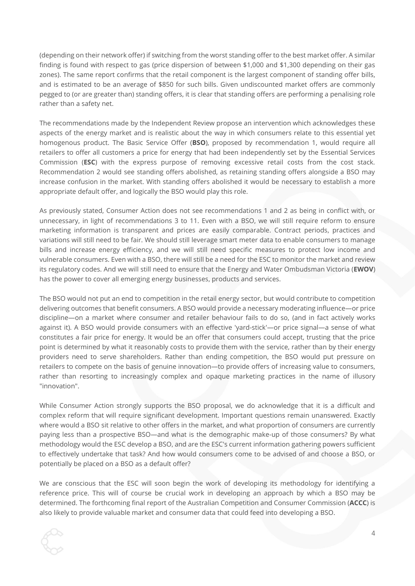(depending on their network offer) if switching from the worst standing offer to the best market offer. A similar finding is found with respect to gas (price dispersion of between \$1,000 and \$1,300 depending on their gas zones). The same report confirms that the retail component is the largest component of standing offer bills, and is estimated to be an average of \$850 for such bills. Given undiscounted market offers are commonly pegged to (or are greater than) standing offers, it is clear that standing offers are performing a penalising role rather than a safety net.

The recommendations made by the Independent Review propose an intervention which acknowledges these aspects of the energy market and is realistic about the way in which consumers relate to this essential yet homogenous product. The Basic Service Offer (**BSO**), proposed by recommendation 1, would require all retailers to offer all customers a price for energy that had been independently set by the Essential Services Commission (**ESC**) with the express purpose of removing excessive retail costs from the cost stack. Recommendation 2 would see standing offers abolished, as retaining standing offers alongside a BSO may increase confusion in the market. With standing offers abolished it would be necessary to establish a more appropriate default offer, and logically the BSO would play this role.

As previously stated, Consumer Action does not see recommendations 1 and 2 as being in conflict with, or unnecessary, in light of recommendations 3 to 11. Even with a BSO, we will still require reform to ensure marketing information is transparent and prices are easily comparable. Contract periods, practices and variations will still need to be fair. We should still leverage smart meter data to enable consumers to manage bills and increase energy efficiency, and we will still need specific measures to protect low income and vulnerable consumers. Even with a BSO, there will still be a need for the ESC to monitor the market and review its regulatory codes. And we will still need to ensure that the Energy and Water Ombudsman Victoria (**EWOV**) has the power to cover all emerging energy businesses, products and services.

The BSO would not put an end to competition in the retail energy sector, but would contribute to competition delivering outcomes that benefit consumers. A BSO would provide a necessary moderating influence—or price discipline—on a market where consumer and retailer behaviour fails to do so, (and in fact actively works against it). A BSO would provide consumers with an effective 'yard-stick'—or price signal—a sense of what constitutes a fair price for energy. It would be an offer that consumers could accept, trusting that the price point is determined by what it reasonably costs to provide them with the service, rather than by their energy providers need to serve shareholders. Rather than ending competition, the BSO would put pressure on retailers to compete on the basis of genuine innovation—to provide offers of increasing value to consumers, rather than resorting to increasingly complex and opaque marketing practices in the name of illusory "innovation".

While Consumer Action strongly supports the BSO proposal, we do acknowledge that it is a difficult and complex reform that will require significant development. Important questions remain unanswered. Exactly where would a BSO sit relative to other offers in the market, and what proportion of consumers are currently paying less than a prospective BSO—and what is the demographic make-up of those consumers? By what methodology would the ESC develop a BSO, and are the ESC's current information gathering powers sufficient to effectively undertake that task? And how would consumers come to be advised of and choose a BSO, or potentially be placed on a BSO as a default offer?

We are conscious that the ESC will soon begin the work of developing its methodology for identifying a reference price. This will of course be crucial work in developing an approach by which a BSO may be determined. The forthcoming final report of the Australian Competition and Consumer Commission (**ACCC**) is also likely to provide valuable market and consumer data that could feed into developing a BSO.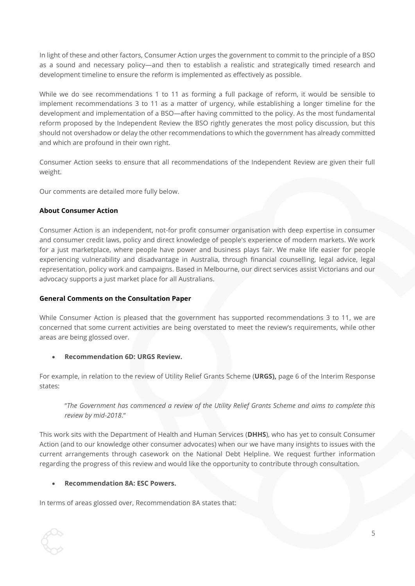In light of these and other factors, Consumer Action urges the government to commit to the principle of a BSO as a sound and necessary policy—and then to establish a realistic and strategically timed research and development timeline to ensure the reform is implemented as effectively as possible.

While we do see recommendations 1 to 11 as forming a full package of reform, it would be sensible to implement recommendations 3 to 11 as a matter of urgency, while establishing a longer timeline for the development and implementation of a BSO—after having committed to the policy. As the most fundamental reform proposed by the Independent Review the BSO rightly generates the most policy discussion, but this should not overshadow or delay the other recommendations to which the government has already committed and which are profound in their own right.

Consumer Action seeks to ensure that all recommendations of the Independent Review are given their full weight.

Our comments are detailed more fully below.

### **About Consumer Action**

Consumer Action is an independent, not-for profit consumer organisation with deep expertise in consumer and consumer credit laws, policy and direct knowledge of people's experience of modern markets. We work for a just marketplace, where people have power and business plays fair. We make life easier for people experiencing vulnerability and disadvantage in Australia, through financial counselling, legal advice, legal representation, policy work and campaigns. Based in Melbourne, our direct services assist Victorians and our advocacy supports a just market place for all Australians.

#### **General Comments on the Consultation Paper**

While Consumer Action is pleased that the government has supported recommendations 3 to 11, we are concerned that some current activities are being overstated to meet the review's requirements, while other areas are being glossed over.

#### • **Recommendation 6D: URGS Review.**

For example, in relation to the review of Utility Relief Grants Scheme (**URGS),** page 6 of the Interim Response states:

"*The Government has commenced a review of the Utility Relief Grants Scheme and aims to complete this review by mid-2018*."

This work sits with the Department of Health and Human Services (**DHHS**), who has yet to consult Consumer Action (and to our knowledge other consumer advocates) when our we have many insights to issues with the current arrangements through casework on the National Debt Helpline. We request further information regarding the progress of this review and would like the opportunity to contribute through consultation.

#### • **Recommendation 8A: ESC Powers.**

In terms of areas glossed over, Recommendation 8A states that: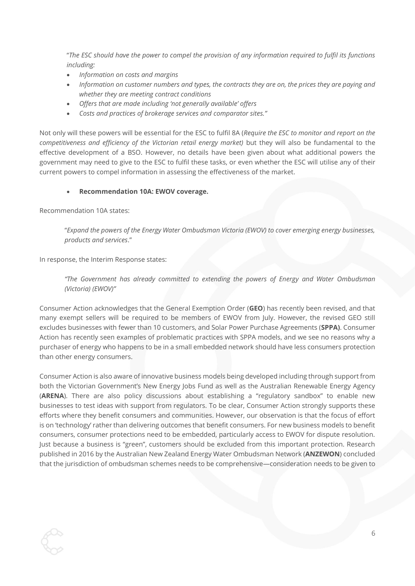"*The ESC should have the power to compel the provision of any information required to fulfil its functions including:*

- *Information on costs and margins*
- *Information on customer numbers and types, the contracts they are on, the prices they are paying and whether they are meeting contract conditions*
- *Offers that are made including 'not generally available' offers*
- *Costs and practices of brokerage services and comparator sites."*

Not only will these powers will be essential for the ESC to fulfil 8A (*Require the ESC to monitor and report on the competitiveness and efficiency of the Victorian retail energy market)* but they will also be fundamental to the effective development of a BSO. However, no details have been given about what additional powers the government may need to give to the ESC to fulfil these tasks, or even whether the ESC will utilise any of their current powers to compel information in assessing the effectiveness of the market.

### • **Recommendation 10A: EWOV coverage.**

Recommendation 10A states:

"*Expand the powers of the Energy Water Ombudsman Victoria (EWOV) to cover emerging energy businesses, products and services*."

In response, the Interim Response states:

*"The Government has already committed to extending the powers of Energy and Water Ombudsman (Victoria) (EWOV)"*

Consumer Action acknowledges that the General Exemption Order (**GEO**) has recently been revised, and that many exempt sellers will be required to be members of EWOV from July. However, the revised GEO still excludes businesses with fewer than 10 customers, and Solar Power Purchase Agreements (**SPPA)**. Consumer Action has recently seen examples of problematic practices with SPPA models, and we see no reasons why a purchaser of energy who happens to be in a small embedded network should have less consumers protection than other energy consumers.

Consumer Action is also aware of innovative business models being developed including through support from both the Victorian Government's New Energy Jobs Fund as well as the Australian Renewable Energy Agency (**ARENA**). There are also policy discussions about establishing a "regulatory sandbox" to enable new businesses to test ideas with support from regulators. To be clear, Consumer Action strongly supports these efforts where they benefit consumers and communities. However, our observation is that the focus of effort is on 'technology' rather than delivering outcomes that benefit consumers. For new business models to benefit consumers, consumer protections need to be embedded, particularly access to EWOV for dispute resolution. Just because a business is "green", customers should be excluded from this important protection. Research published in 2016 by the Australian New Zealand Energy Water Ombudsman Network (**ANZEWON**) concluded that the jurisdiction of ombudsman schemes needs to be comprehensive—consideration needs to be given to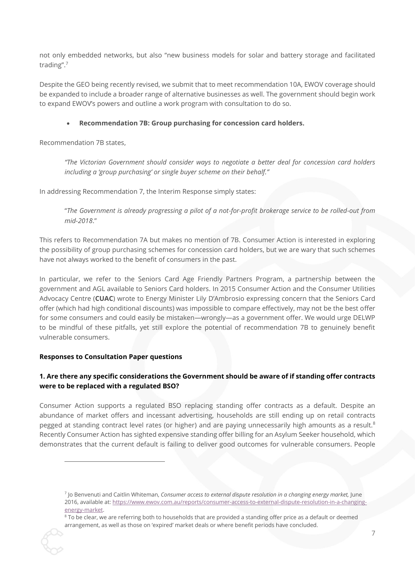not only embedded networks, but also "new business models for solar and battery storage and facilitated trading". 7

Despite the GEO being recently revised, we submit that to meet recommendation 10A, EWOV coverage should be expanded to include a broader range of alternative businesses as well. The government should begin work to expand EWOV's powers and outline a work program with consultation to do so.

### • **Recommendation 7B: Group purchasing for concession card holders.**

Recommendation 7B states,

*"The Victorian Government should consider ways to negotiate a better deal for concession card holders including a 'group purchasing' or single buyer scheme on their behalf."*

In addressing Recommendation 7, the Interim Response simply states:

"*The Government is already progressing a pilot of a not-for-profit brokerage service to be rolled-out from mid-2018*."

This refers to Recommendation 7A but makes no mention of 7B. Consumer Action is interested in exploring the possibility of group purchasing schemes for concession card holders, but we are wary that such schemes have not always worked to the benefit of consumers in the past.

In particular, we refer to the Seniors Card Age Friendly Partners Program, a partnership between the government and AGL available to Seniors Card holders. In 2015 Consumer Action and the Consumer Utilities Advocacy Centre (**CUAC**) wrote to Energy Minister Lily D'Ambrosio expressing concern that the Seniors Card offer (which had high conditional discounts) was impossible to compare effectively, may not be the best offer for some consumers and could easily be mistaken—wrongly—as a government offer. We would urge DELWP to be mindful of these pitfalls, yet still explore the potential of recommendation 7B to genuinely benefit vulnerable consumers.

#### **Responses to Consultation Paper questions**

 $\overline{a}$ 

# **1. Are there any specific considerations the Government should be aware of if standing offer contracts were to be replaced with a regulated BSO?**

Consumer Action supports a regulated BSO replacing standing offer contracts as a default. Despite an abundance of market offers and incessant advertising, households are still ending up on retail contracts pegged at standing contract level rates (or higher) and are paying unnecessarily high amounts as a result.<sup>8</sup> Recently Consumer Action has sighted expensive standing offer billing for an Asylum Seeker household, which demonstrates that the current default is failing to deliver good outcomes for vulnerable consumers. People

<sup>&</sup>lt;sup>7</sup> Jo Benvenuti and Caitlin Whiteman, *Consumer access to external dispute resolution in a changing energy market, June* 2016, available at[: https://www.ewov.com.au/reports/consumer-access-to-external-dispute-resolution-in-a-changing](https://www.ewov.com.au/reports/consumer-access-to-external-dispute-resolution-in-a-changing-energy-market)[energy-market.](https://www.ewov.com.au/reports/consumer-access-to-external-dispute-resolution-in-a-changing-energy-market) 

<sup>&</sup>lt;sup>8</sup> To be clear, we are referring both to households that are provided a standing offer price as a default or deemed arrangement, as well as those on 'expired' market deals or where benefit periods have concluded.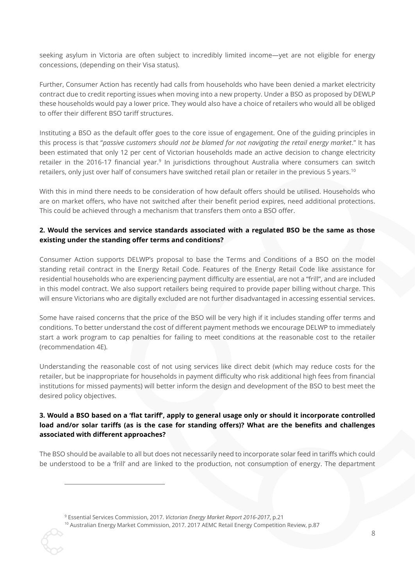seeking asylum in Victoria are often subject to incredibly limited income—yet are not eligible for energy concessions, (depending on their Visa status).

Further, Consumer Action has recently had calls from households who have been denied a market electricity contract due to credit reporting issues when moving into a new property. Under a BSO as proposed by DEWLP these households would pay a lower price. They would also have a choice of retailers who would all be obliged to offer their different BSO tariff structures.

Instituting a BSO as the default offer goes to the core issue of engagement. One of the guiding principles in this process is that "*passive customers should not be blamed for not navigating the retail energy market*." It has been estimated that only 12 per cent of Victorian households made an active decision to change electricity retailer in the 2016-17 financial year.<sup>9</sup> In jurisdictions throughout Australia where consumers can switch retailers, only just over half of consumers have switched retail plan or retailer in the previous 5 years.<sup>10</sup>

With this in mind there needs to be consideration of how default offers should be utilised. Households who are on market offers, who have not switched after their benefit period expires, need additional protections. This could be achieved through a mechanism that transfers them onto a BSO offer.

## **2. Would the services and service standards associated with a regulated BSO be the same as those existing under the standing offer terms and conditions?**

Consumer Action supports DELWP's proposal to base the Terms and Conditions of a BSO on the model standing retail contract in the Energy Retail Code. Features of the Energy Retail Code like assistance for residential households who are experiencing payment difficulty are essential, are not a "frill", and are included in this model contract. We also support retailers being required to provide paper billing without charge. This will ensure Victorians who are digitally excluded are not further disadvantaged in accessing essential services.

Some have raised concerns that the price of the BSO will be very high if it includes standing offer terms and conditions. To better understand the cost of different payment methods we encourage DELWP to immediately start a work program to cap penalties for failing to meet conditions at the reasonable cost to the retailer (recommendation 4E).

Understanding the reasonable cost of not using services like direct debit (which may reduce costs for the retailer, but be inappropriate for households in payment difficulty who risk additional high fees from financial institutions for missed payments) will better inform the design and development of the BSO to best meet the desired policy objectives.

# **3. Would a BSO based on a 'flat tariff', apply to general usage only or should it incorporate controlled load and/or solar tariffs (as is the case for standing offers)? What are the benefits and challenges associated with different approaches?**

The BSO should be available to all but does not necessarily need to incorporate solar feed in tariffs which could be understood to be a 'frill' and are linked to the production, not consumption of energy. The department

<sup>9</sup> Essential Services Commission, 2017. *Victorian Energy Market Report 2016-2017*, p.21

 $\overline{a}$ 

<sup>10</sup> Australian Energy Market Commission, 2017. 2017 AEMC Retail Energy Competition Review, p.87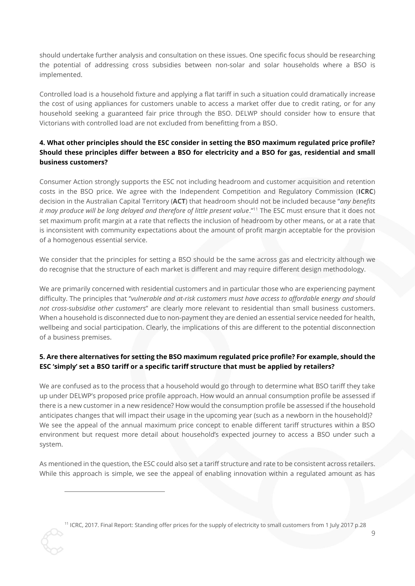should undertake further analysis and consultation on these issues. One specific focus should be researching the potential of addressing cross subsidies between non-solar and solar households where a BSO is implemented.

Controlled load is a household fixture and applying a flat tariff in such a situation could dramatically increase the cost of using appliances for customers unable to access a market offer due to credit rating, or for any household seeking a guaranteed fair price through the BSO. DELWP should consider how to ensure that Victorians with controlled load are not excluded from benefitting from a BSO.

# **4. What other principles should the ESC consider in setting the BSO maximum regulated price profile? Should these principles differ between a BSO for electricity and a BSO for gas, residential and small business customers?**

Consumer Action strongly supports the ESC not including headroom and customer acquisition and retention costs in the BSO price. We agree with the Independent Competition and Regulatory Commission (**ICRC**) decision in the Australian Capital Territory (**ACT**) that headroom should not be included because "*any benefits it may produce will be long delayed and therefore of little present value*."<sup>11</sup> The ESC must ensure that it does not set maximum profit margin at a rate that reflects the inclusion of headroom by other means, or at a rate that is inconsistent with community expectations about the amount of profit margin acceptable for the provision of a homogenous essential service.

We consider that the principles for setting a BSO should be the same across gas and electricity although we do recognise that the structure of each market is different and may require different design methodology.

We are primarily concerned with residential customers and in particular those who are experiencing payment difficulty. The principles that "*vulnerable and at-risk customers must have access to affordable energy and should not cross-subsidise other customers*" are clearly more relevant to residential than small business customers. When a household is disconnected due to non-payment they are denied an essential service needed for health, wellbeing and social participation. Clearly, the implications of this are different to the potential disconnection of a business premises.

# **5. Are there alternatives for setting the BSO maximum regulated price profile? For example, should the ESC 'simply' set a BSO tariff or a specific tariff structure that must be applied by retailers?**

We are confused as to the process that a household would go through to determine what BSO tariff they take up under DELWP's proposed price profile approach. How would an annual consumption profile be assessed if there is a new customer in a new residence? How would the consumption profile be assessed if the household anticipates changes that will impact their usage in the upcoming year (such as a newborn in the household)? We see the appeal of the annual maximum price concept to enable different tariff structures within a BSO environment but request more detail about household's expected journey to access a BSO under such a system.

As mentioned in the question, the ESC could also set a tariff structure and rate to be consistent across retailers. While this approach is simple, we see the appeal of enabling innovation within a regulated amount as has

<sup>11</sup> ICRC, 2017. Final Report: Standing offer prices for the supply of electricity to small customers from 1 July 2017 p.28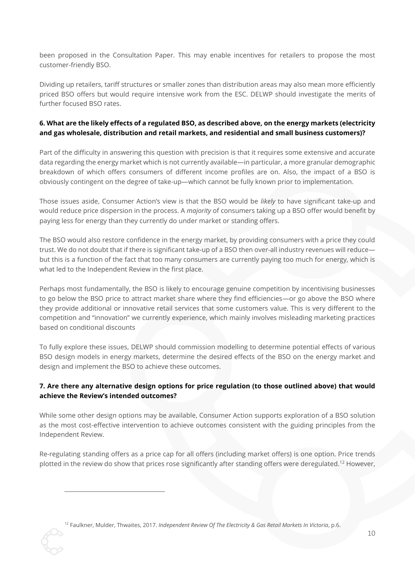been proposed in the Consultation Paper. This may enable incentives for retailers to propose the most customer-friendly BSO.

Dividing up retailers, tariff structures or smaller zones than distribution areas may also mean more efficiently priced BSO offers but would require intensive work from the ESC. DELWP should investigate the merits of further focused BSO rates.

## **6. What are the likely effects of a regulated BSO, as described above, on the energy markets (electricity and gas wholesale, distribution and retail markets, and residential and small business customers)?**

Part of the difficulty in answering this question with precision is that it requires some extensive and accurate data regarding the energy market which is not currently available—in particular, a more granular demographic breakdown of which offers consumers of different income profiles are on. Also, the impact of a BSO is obviously contingent on the degree of take-up—which cannot be fully known prior to implementation.

Those issues aside, Consumer Action's view is that the BSO would be *likely* to have significant take-up and would reduce price dispersion in the process. A *majority* of consumers taking up a BSO offer would benefit by paying less for energy than they currently do under market or standing offers.

The BSO would also restore confidence in the energy market, by providing consumers with a price they could trust. We do not doubt that if there is significant take-up of a BSO then over-all industry revenues will reduce but this is a function of the fact that too many consumers are currently paying too much for energy, which is what led to the Independent Review in the first place.

Perhaps most fundamentally, the BSO is likely to encourage genuine competition by incentivising businesses to go below the BSO price to attract market share where they find efficiencies—or go above the BSO where they provide additional or innovative retail services that some customers value. This is very different to the competition and "innovation" we currently experience, which mainly involves misleading marketing practices based on conditional discounts

To fully explore these issues, DELWP should commission modelling to determine potential effects of various BSO design models in energy markets, determine the desired effects of the BSO on the energy market and design and implement the BSO to achieve these outcomes.

# **7. Are there any alternative design options for price regulation (to those outlined above) that would achieve the Review's intended outcomes?**

While some other design options may be available, Consumer Action supports exploration of a BSO solution as the most cost-effective intervention to achieve outcomes consistent with the guiding principles from the Independent Review.

Re-regulating standing offers as a price cap for all offers (including market offers) is one option. Price trends plotted in the review do show that prices rose significantly after standing offers were deregulated.<sup>12</sup> However,

<sup>12</sup> Faulkner, Mulder, Thwaites, 2017. *Independent Review Of The Electricity & Gas Retail Markets In Victoria*, p.6.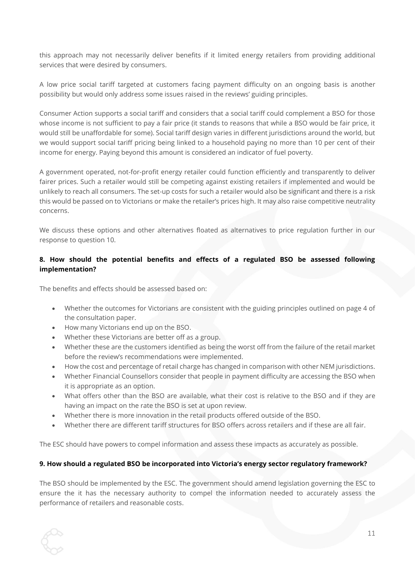this approach may not necessarily deliver benefits if it limited energy retailers from providing additional services that were desired by consumers.

A low price social tariff targeted at customers facing payment difficulty on an ongoing basis is another possibility but would only address some issues raised in the reviews' guiding principles.

Consumer Action supports a social tariff and considers that a social tariff could complement a BSO for those whose income is not sufficient to pay a fair price (it stands to reasons that while a BSO would be fair price, it would still be unaffordable for some). Social tariff design varies in different jurisdictions around the world, but we would support social tariff pricing being linked to a household paying no more than 10 per cent of their income for energy. Paying beyond this amount is considered an indicator of fuel poverty.

A government operated, not-for-profit energy retailer could function efficiently and transparently to deliver fairer prices. Such a retailer would still be competing against existing retailers if implemented and would be unlikely to reach all consumers. The set-up costs for such a retailer would also be significant and there is a risk this would be passed on to Victorians or make the retailer's prices high. It may also raise competitive neutrality concerns.

We discuss these options and other alternatives floated as alternatives to price regulation further in our response to question 10.

### **8. How should the potential benefits and effects of a regulated BSO be assessed following implementation?**

The benefits and effects should be assessed based on:

- Whether the outcomes for Victorians are consistent with the guiding principles outlined on page 4 of the consultation paper.
- How many Victorians end up on the BSO.
- Whether these Victorians are better off as a group.
- Whether these are the customers identified as being the worst off from the failure of the retail market before the review's recommendations were implemented.
- How the cost and percentage of retail charge has changed in comparison with other NEM jurisdictions.
- Whether Financial Counsellors consider that people in payment difficulty are accessing the BSO when it is appropriate as an option.
- What offers other than the BSO are available, what their cost is relative to the BSO and if they are having an impact on the rate the BSO is set at upon review.
- Whether there is more innovation in the retail products offered outside of the BSO.
- Whether there are different tariff structures for BSO offers across retailers and if these are all fair.

The ESC should have powers to compel information and assess these impacts as accurately as possible.

#### **9. How should a regulated BSO be incorporated into Victoria's energy sector regulatory framework?**

The BSO should be implemented by the ESC. The government should amend legislation governing the ESC to ensure the it has the necessary authority to compel the information needed to accurately assess the performance of retailers and reasonable costs.

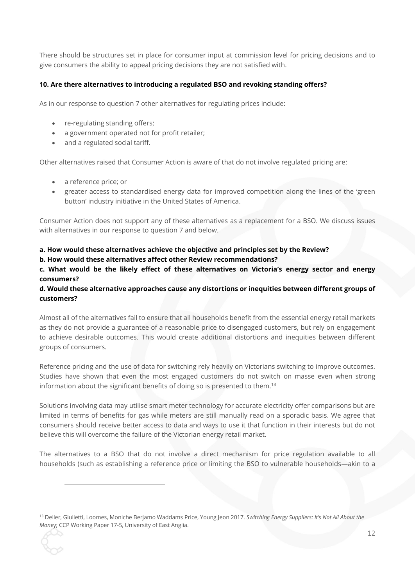There should be structures set in place for consumer input at commission level for pricing decisions and to give consumers the ability to appeal pricing decisions they are not satisfied with.

## **10. Are there alternatives to introducing a regulated BSO and revoking standing offers?**

As in our response to question 7 other alternatives for regulating prices include:

- re-regulating standing offers;
- a government operated not for profit retailer;
- and a regulated social tariff.

Other alternatives raised that Consumer Action is aware of that do not involve regulated pricing are:

• a reference price; or

 $\overline{a}$ 

• greater access to standardised energy data for improved competition along the lines of the 'green button' industry initiative in the United States of America.

Consumer Action does not support any of these alternatives as a replacement for a BSO. We discuss issues with alternatives in our response to question 7 and below.

#### **a. How would these alternatives achieve the objective and principles set by the Review?**

#### **b. How would these alternatives affect other Review recommendations?**

**c. What would be the likely effect of these alternatives on Victoria's energy sector and energy consumers?** 

### **d. Would these alternative approaches cause any distortions or inequities between different groups of customers?**

Almost all of the alternatives fail to ensure that all households benefit from the essential energy retail markets as they do not provide a guarantee of a reasonable price to disengaged customers, but rely on engagement to achieve desirable outcomes. This would create additional distortions and inequities between different groups of consumers.

Reference pricing and the use of data for switching rely heavily on Victorians switching to improve outcomes. Studies have shown that even the most engaged customers do not switch on masse even when strong information about the significant benefits of doing so is presented to them.<sup>13</sup>

Solutions involving data may utilise smart meter technology for accurate electricity offer comparisons but are limited in terms of benefits for gas while meters are still manually read on a sporadic basis. We agree that consumers should receive better access to data and ways to use it that function in their interests but do not believe this will overcome the failure of the Victorian energy retail market.

The alternatives to a BSO that do not involve a direct mechanism for price regulation available to all households (such as establishing a reference price or limiting the BSO to vulnerable households—akin to a

<sup>13</sup> Deller, Giulietti, Loomes, Moniche Berjamo Waddams Price, Young Jeon 2017. *Switching Energy Suppliers: It's Not All About the Mone*y; CCP Working Paper 17-5, University of East Anglia.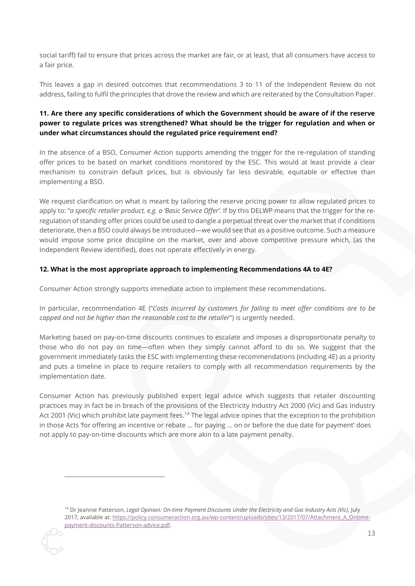social tariff) fail to ensure that prices across the market are fair, or at least, that all consumers have access to a fair price.

This leaves a gap in desired outcomes that recommendations 3 to 11 of the Independent Review do not address, failing to fulfil the principles that drove the review and which are reiterated by the Consultation Paper.

# **11. Are there any specific considerations of which the Government should be aware of if the reserve power to regulate prices was strengthened? What should be the trigger for regulation and when or under what circumstances should the regulated price requirement end?**

In the absence of a BSO, Consumer Action supports amending the trigger for the re-regulation of standing offer prices to be based on market conditions monitored by the ESC. This would at least provide a clear mechanism to constrain default prices, but is obviously far less desirable, equitable or effective than implementing a BSO.

We request clarification on what is meant by tailoring the reserve pricing power to allow regulated prices to apply to: "*a specific retailer product, e.g. a 'Basic Service Offer*'. If by this DELWP means that the trigger for the reregulation of standing offer prices could be used to dangle a perpetual threat over the market that if conditions deteriorate, then a BSO could always be introduced—we would see that as a positive outcome. Such a measure would impose some price discipline on the market, over and above competitive pressure which, (as the Independent Review identified), does not operate effectively in energy.

## **12. What is the most appropriate approach to implementing Recommendations 4A to 4E?**

Consumer Action strongly supports immediate action to implement these recommendations.

In particular, recommendation 4E ("*Costs incurred by customers for failing to meet offer conditions are to be capped and not be higher than the reasonable cost to the retailer*") is urgently needed.

Marketing based on pay-on-time discounts continues to escalate and imposes a disproportionate penalty to those who do not pay on time—often when they simply cannot afford to do so. We suggest that the government immediately tasks the ESC with implementing these recommendations (including 4E) as a priority and puts a timeline in place to require retailers to comply with all recommendation requirements by the implementation date.

Consumer Action has previously published expert legal advice which suggests that retailer discounting practices may in fact be in breach of the provisions of the Electricity Industry Act 2000 (Vic) and Gas Industry Act 2001 (Vic) which prohibit late payment fees.<sup>14</sup> The legal advice opines that the exception to the prohibition in those Acts 'for offering an incentive or rebate ... for paying ... on or before the due date for payment' does not apply to pay-on-time discounts which are more akin to a late payment penalty.

<sup>14</sup> Dr Jeannie Patterson, *Legal Opinion: On-time Payment Discounts Under the Electricity and Gas Industry Acts (Vic)*, July 2017, available at: https://policy.consumeraction.org.au/wp-content/uploads/sites/13/2017/07/Attachment A Ontime[payment-discounts-Patterson-advice.pdf.](https://policy.consumeraction.org.au/wp-content/uploads/sites/13/2017/07/Attachment_A_Ontime-payment-discounts-Patterson-advice.pdf)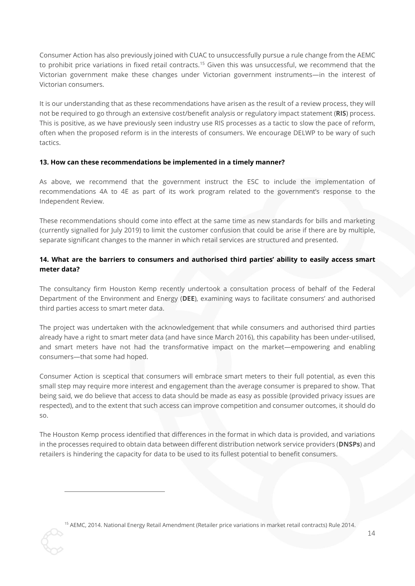Consumer Action has also previously joined with CUAC to unsuccessfully pursue a rule change from the AEMC to prohibit price variations in fixed retail contracts.<sup>15</sup> Given this was unsuccessful, we recommend that the Victorian government make these changes under Victorian government instruments—in the interest of Victorian consumers.

It is our understanding that as these recommendations have arisen as the result of a review process, they will not be required to go through an extensive cost/benefit analysis or regulatory impact statement (**RIS**) process. This is positive, as we have previously seen industry use RIS processes as a tactic to slow the pace of reform, often when the proposed reform is in the interests of consumers. We encourage DELWP to be wary of such tactics.

### **13. How can these recommendations be implemented in a timely manner?**

As above, we recommend that the government instruct the ESC to include the implementation of recommendations 4A to 4E as part of its work program related to the government's response to the Independent Review.

These recommendations should come into effect at the same time as new standards for bills and marketing (currently signalled for July 2019) to limit the customer confusion that could be arise if there are by multiple, separate significant changes to the manner in which retail services are structured and presented.

## **14. What are the barriers to consumers and authorised third parties' ability to easily access smart meter data?**

The consultancy firm Houston Kemp recently undertook a consultation process of behalf of the Federal Department of the Environment and Energy (**DEE**), examining ways to facilitate consumers' and authorised third parties access to smart meter data.

The project was undertaken with the acknowledgement that while consumers and authorised third parties already have a right to smart meter data (and have since March 2016), this capability has been under-utilised, and smart meters have not had the transformative impact on the market—empowering and enabling consumers—that some had hoped.

Consumer Action is sceptical that consumers will embrace smart meters to their full potential, as even this small step may require more interest and engagement than the average consumer is prepared to show. That being said, we do believe that access to data should be made as easy as possible (provided privacy issues are respected), and to the extent that such access can improve competition and consumer outcomes, it should do so.

The Houston Kemp process identified that differences in the format in which data is provided, and variations in the processes required to obtain data between different distribution network service providers (**DNSPs**) and retailers is hindering the capacity for data to be used to its fullest potential to benefit consumers.

<sup>15</sup> AEMC, 2014. National Energy Retail Amendment (Retailer price variations in market retail contracts) Rule 2014.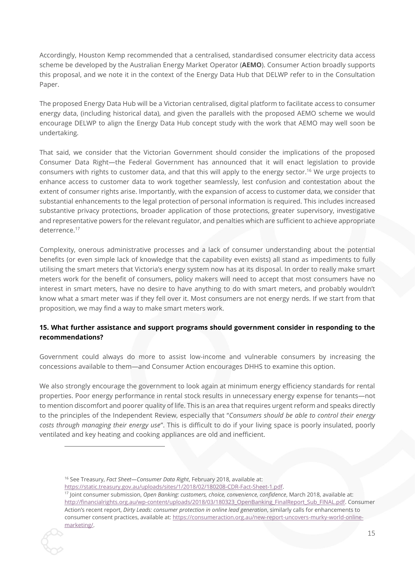Accordingly, Houston Kemp recommended that a centralised, standardised consumer electricity data access scheme be developed by the Australian Energy Market Operator (**AEMO**). Consumer Action broadly supports this proposal, and we note it in the context of the Energy Data Hub that DELWP refer to in the Consultation Paper.

The proposed Energy Data Hub will be a Victorian centralised, digital platform to facilitate access to consumer energy data, (including historical data), and given the parallels with the proposed AEMO scheme we would encourage DELWP to align the Energy Data Hub concept study with the work that AEMO may well soon be undertaking.

That said, we consider that the Victorian Government should consider the implications of the proposed Consumer Data Right—the Federal Government has announced that it will enact legislation to provide consumers with rights to customer data, and that this will apply to the energy sector.<sup>16</sup> We urge projects to enhance access to customer data to work together seamlessly, lest confusion and contestation about the extent of consumer rights arise. Importantly, with the expansion of access to customer data, we consider that substantial enhancements to the legal protection of personal information is required. This includes increased substantive privacy protections, broader application of those protections, greater supervisory, investigative and representative powers for the relevant regulator, and penalties which are sufficient to achieve appropriate deterrence.<sup>17</sup>

Complexity, onerous administrative processes and a lack of consumer understanding about the potential benefits (or even simple lack of knowledge that the capability even exists) all stand as impediments to fully utilising the smart meters that Victoria's energy system now has at its disposal. In order to really make smart meters work for the benefit of consumers, policy makers will need to accept that most consumers have no interest in smart meters, have no desire to have anything to do with smart meters, and probably wouldn't know what a smart meter was if they fell over it. Most consumers are not energy nerds. If we start from that proposition, we may find a way to make smart meters work.

# **15. What further assistance and support programs should government consider in responding to the recommendations?**

Government could always do more to assist low-income and vulnerable consumers by increasing the concessions available to them—and Consumer Action encourages DHHS to examine this option.

We also strongly encourage the government to look again at minimum energy efficiency standards for rental properties. Poor energy performance in rental stock results in unnecessary energy expense for tenants—not to mention discomfort and poorer quality of life. This is an area that requires urgent reform and speaks directly to the principles of the Independent Review, especially that "*Consumers should be able to control their energy costs through managing their energy use*". This is difficult to do if your living space is poorly insulated, poorly ventilated and key heating and cooking appliances are old and inefficient.

<sup>17</sup> Joint consumer submission, *Open Banking: customers, choice, convenience, confidence*, March 2018, available at: [http://financialrights.org.au/wp-content/uploads/2018/03/180323\\_OpenBanking\\_FinalReport\\_Sub\\_FINAL.pdf.](http://financialrights.org.au/wp-content/uploads/2018/03/180323_OpenBanking_FinalReport_Sub_FINAL.pdf) Consumer Action's recent report, *Dirty Leads: consumer protection in online lead generation*, similarly calls for enhancements to consumer consent practices, available at[: https://consumeraction.org.au/new-report-uncovers-murky-world-online](https://consumeraction.org.au/new-report-uncovers-murky-world-online-marketing/)[marketing/.](https://consumeraction.org.au/new-report-uncovers-murky-world-online-marketing/) 



<sup>16</sup> See Treasury, *Fact Sheet—Consumer Data Right*, February 2018, available at:

[https://static.treasury.gov.au/uploads/sites/1/2018/02/180208-CDR-Fact-Sheet-1.pdf.](https://static.treasury.gov.au/uploads/sites/1/2018/02/180208-CDR-Fact-Sheet-1.pdf)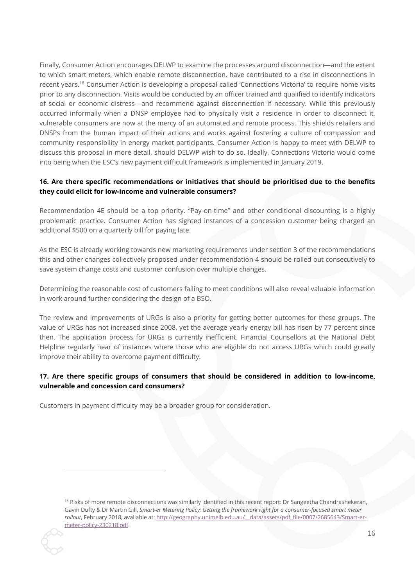Finally, Consumer Action encourages DELWP to examine the processes around disconnection—and the extent to which smart meters, which enable remote disconnection, have contributed to a rise in disconnections in recent years.<sup>18</sup> Consumer Action is developing a proposal called 'Connections Victoria' to require home visits prior to any disconnection. Visits would be conducted by an officer trained and qualified to identify indicators of social or economic distress—and recommend against disconnection if necessary. While this previously occurred informally when a DNSP employee had to physically visit a residence in order to disconnect it, vulnerable consumers are now at the mercy of an automated and remote process. This shields retailers and DNSPs from the human impact of their actions and works against fostering a culture of compassion and community responsibility in energy market participants. Consumer Action is happy to meet with DELWP to discuss this proposal in more detail, should DELWP wish to do so. Ideally, Connections Victoria would come into being when the ESC's new payment difficult framework is implemented in January 2019.

# **16. Are there specific recommendations or initiatives that should be prioritised due to the benefits they could elicit for low-income and vulnerable consumers?**

Recommendation 4E should be a top priority. "Pay-on-time" and other conditional discounting is a highly problematic practice. Consumer Action has sighted instances of a concession customer being charged an additional \$500 on a quarterly bill for paying late.

As the ESC is already working towards new marketing requirements under section 3 of the recommendations this and other changes collectively proposed under recommendation 4 should be rolled out consecutively to save system change costs and customer confusion over multiple changes.

Determining the reasonable cost of customers failing to meet conditions will also reveal valuable information in work around further considering the design of a BSO.

The review and improvements of URGs is also a priority for getting better outcomes for these groups. The value of URGs has not increased since 2008, yet the average yearly energy bill has risen by 77 percent since then. The application process for URGs is currently inefficient. Financial Counsellors at the National Debt Helpline regularly hear of instances where those who are eligible do not access URGs which could greatly improve their ability to overcome payment difficulty.

# **17. Are there specific groups of consumers that should be considered in addition to low-income, vulnerable and concession card consumers?**

Customers in payment difficulty may be a broader group for consideration.

<sup>&</sup>lt;sup>18</sup> Risks of more remote disconnections was similarly identified in this recent report: Dr Sangeetha Chandrashekeran, Gavin Dufty & Dr Martin Gill, *Smart-er Metering Policy: Getting the framework right for a consumer-focused smart meter rollout*, February 2018, available at[: http://geography.unimelb.edu.au/\\_\\_data/assets/pdf\\_file/0007/2685643/Smart-er](http://geography.unimelb.edu.au/__data/assets/pdf_file/0007/2685643/Smart-er-meter-policy-230218.pdf)[meter-policy-230218.pdf.](http://geography.unimelb.edu.au/__data/assets/pdf_file/0007/2685643/Smart-er-meter-policy-230218.pdf)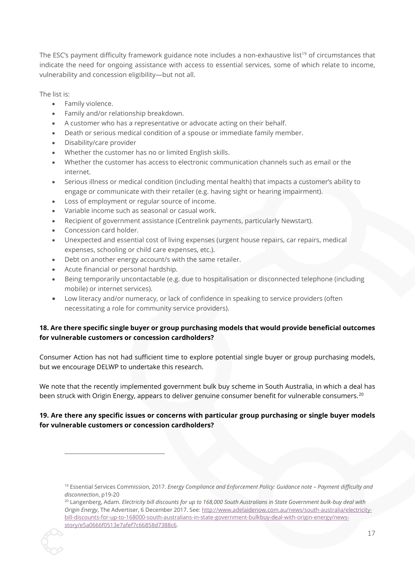The ESC's payment difficulty framework guidance note includes a non-exhaustive list<sup>19</sup> of circumstances that indicate the need for ongoing assistance with access to essential services, some of which relate to income, vulnerability and concession eligibility—but not all.

The list is:

- Family violence.
- Family and/or relationship breakdown.
- A customer who has a representative or advocate acting on their behalf.
- Death or serious medical condition of a spouse or immediate family member.
- Disability/care provider
- Whether the customer has no or limited English skills.
- Whether the customer has access to electronic communication channels such as email or the internet.
- Serious illness or medical condition (including mental health) that impacts a customer's ability to engage or communicate with their retailer (e.g. having sight or hearing impairment).
- Loss of employment or regular source of income.
- Variable income such as seasonal or casual work.
- Recipient of government assistance (Centrelink payments, particularly Newstart).
- Concession card holder.

 $\overline{a}$ 

- Unexpected and essential cost of living expenses (urgent house repairs, car repairs, medical expenses, schooling or child care expenses, etc.).
- Debt on another energy account/s with the same retailer.
- Acute financial or personal hardship.
- Being temporarily uncontactable (e.g. due to hospitalisation or disconnected telephone (including mobile) or internet services).
- Low literacy and/or numeracy, or lack of confidence in speaking to service providers (often necessitating a role for community service providers).

# **18. Are there specific single buyer or group purchasing models that would provide beneficial outcomes for vulnerable customers or concession cardholders?**

Consumer Action has not had sufficient time to explore potential single buyer or group purchasing models, but we encourage DELWP to undertake this research.

We note that the recently implemented government bulk buy scheme in South Australia, in which a deal has been struck with Origin Energy, appears to deliver genuine consumer benefit for vulnerable consumers.<sup>20</sup>

# **19. Are there any specific issues or concerns with particular group purchasing or single buyer models for vulnerable customers or concession cardholders?**

<sup>20</sup> Langenberg, Adam. *Electricity bill discounts for up to 168,000 South Australians in State Government bulk-buy deal with Origin Energy*, The Advertiser, 6 December 2017. See[: http://www.adelaidenow.com.au/news/south-australia/electricity](http://www.adelaidenow.com.au/news/south-australia/electricity-bill-discounts-for-up-to-168000-south-australians-in-state-government-bulkbuy-deal-with-origin-energy/news-story/e5a0666f0513e7afef7c66858d7388c6)[bill-discounts-for-up-to-168000-south-australians-in-state-government-bulkbuy-deal-with-origin-energy/news](http://www.adelaidenow.com.au/news/south-australia/electricity-bill-discounts-for-up-to-168000-south-australians-in-state-government-bulkbuy-deal-with-origin-energy/news-story/e5a0666f0513e7afef7c66858d7388c6)[story/e5a0666f0513e7afef7c66858d7388c6.](http://www.adelaidenow.com.au/news/south-australia/electricity-bill-discounts-for-up-to-168000-south-australians-in-state-government-bulkbuy-deal-with-origin-energy/news-story/e5a0666f0513e7afef7c66858d7388c6) 



<sup>19</sup> Essential Services Commission, 2017. *Energy Compliance and Enforcement Policy: Guidance note – Payment difficulty and disconnection*, p19-20